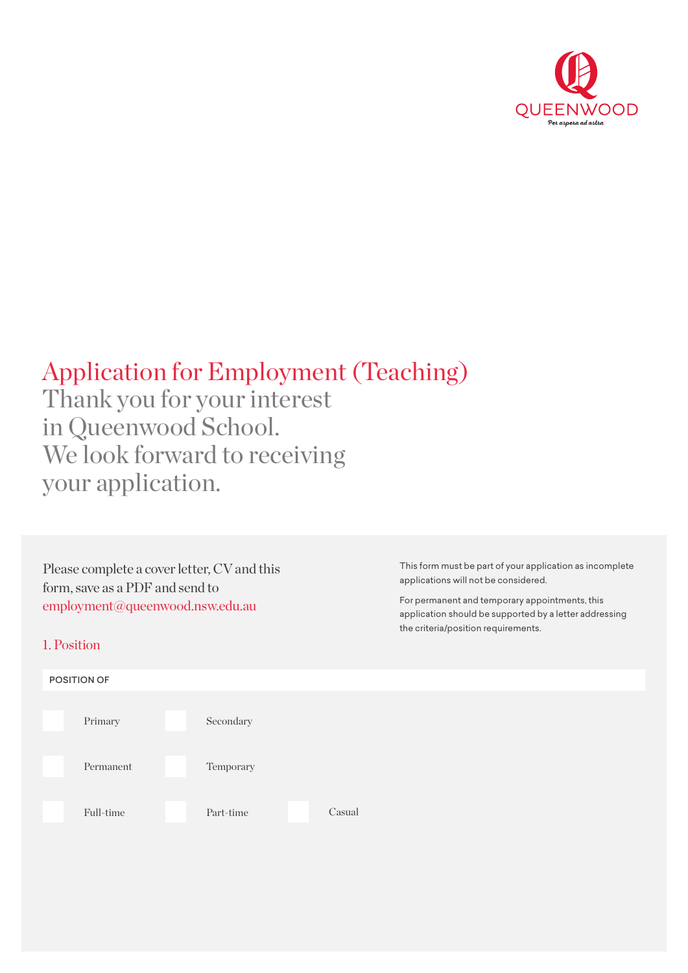

# Application for Employment (Teaching)

Thank you for your interest in Queenwood School. We look forward to receiving your application.

Please complete a cover letter, CV and this form, save as a PDF and send to [employment@queenwood.nsw.edu.au](mailto:employment%40queenwood.nsw.edu.au?subject=)

#### 1. Position



This form must be part of your application as incomplete applications will not be considered.

For permanent and temporary appointments, this application should be supported by a letter addressing the criteria/position requirements.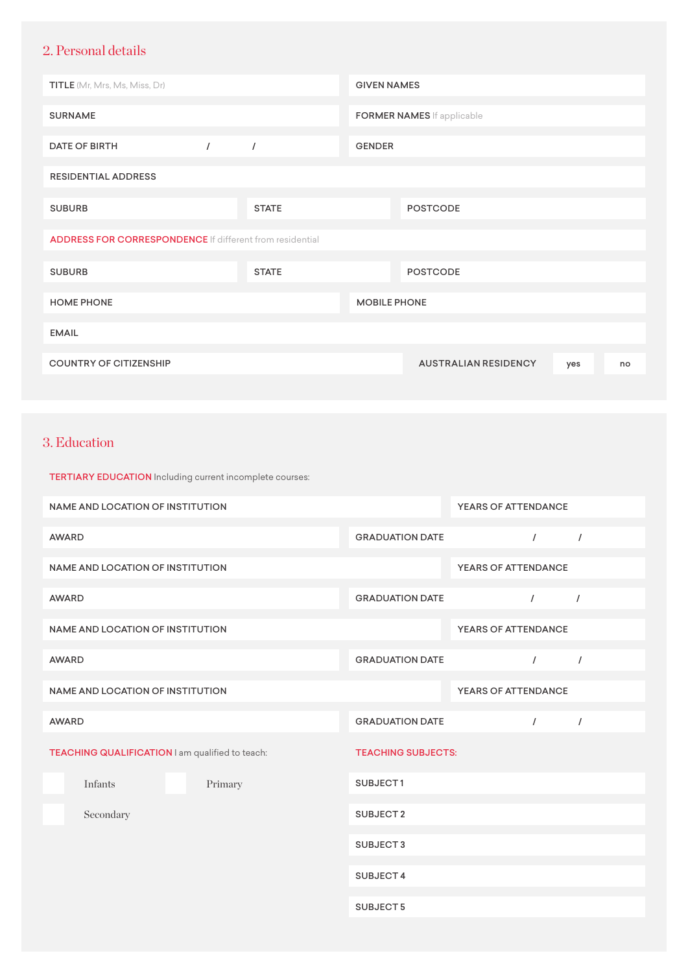## 2. Personal details

| <b>TITLE</b> (Mr, Mrs, Ms, Miss, Dr)                            |          |              | <b>GIVEN NAMES</b>  |                                   |     |    |
|-----------------------------------------------------------------|----------|--------------|---------------------|-----------------------------------|-----|----|
| <b>SURNAME</b>                                                  |          |              |                     | <b>FORMER NAMES</b> If applicable |     |    |
| <b>DATE OF BIRTH</b>                                            | $\prime$ | $\sqrt{ }$   | <b>GENDER</b>       |                                   |     |    |
| <b>RESIDENTIAL ADDRESS</b>                                      |          |              |                     |                                   |     |    |
| <b>SUBURB</b>                                                   |          | <b>STATE</b> |                     | <b>POSTCODE</b>                   |     |    |
| <b>ADDRESS FOR CORRESPONDENCE</b> If different from residential |          |              |                     |                                   |     |    |
| <b>SUBURB</b>                                                   |          | <b>STATE</b> |                     | <b>POSTCODE</b>                   |     |    |
| <b>HOME PHONE</b>                                               |          |              | <b>MOBILE PHONE</b> |                                   |     |    |
| <b>EMAIL</b>                                                    |          |              |                     |                                   |     |    |
| <b>COUNTRY OF CITIZENSHIP</b>                                   |          |              |                     | <b>AUSTRALIAN RESIDENCY</b>       | yes | no |

#### 3. Education

| TERTIARY EDUCATION Including current incomplete courses: |         |                           |                            |            |  |
|----------------------------------------------------------|---------|---------------------------|----------------------------|------------|--|
| <b>NAME AND LOCATION OF INSTITUTION</b>                  |         |                           | <b>YEARS OF ATTENDANCE</b> |            |  |
| <b>AWARD</b>                                             |         | <b>GRADUATION DATE</b>    | $\sqrt{ }$                 | $\sqrt{ }$ |  |
| <b>NAME AND LOCATION OF INSTITUTION</b>                  |         |                           | YEARS OF ATTENDANCE        |            |  |
| <b>AWARD</b>                                             |         | <b>GRADUATION DATE</b>    | $\prime$                   | $\prime$   |  |
| NAME AND LOCATION OF INSTITUTION                         |         |                           | <b>YEARS OF ATTENDANCE</b> |            |  |
| <b>AWARD</b>                                             |         | <b>GRADUATION DATE</b>    | $\sqrt{ }$                 | $\sqrt{ }$ |  |
| <b>NAME AND LOCATION OF INSTITUTION</b>                  |         |                           | YEARS OF ATTENDANCE        |            |  |
| <b>AWARD</b>                                             |         | <b>GRADUATION DATE</b>    | $\sqrt{2}$                 | $\sqrt{ }$ |  |
| TEACHING QUALIFICATION I am qualified to teach:          |         | <b>TEACHING SUBJECTS:</b> |                            |            |  |
| Infants                                                  | Primary | SUBJECT1                  |                            |            |  |
| Secondary                                                |         | SUBJECT <sub>2</sub>      |                            |            |  |
|                                                          |         | SUBJECT3                  |                            |            |  |
|                                                          |         | SUBJECT 4                 |                            |            |  |
|                                                          |         | SUBJECT <sub>5</sub>      |                            |            |  |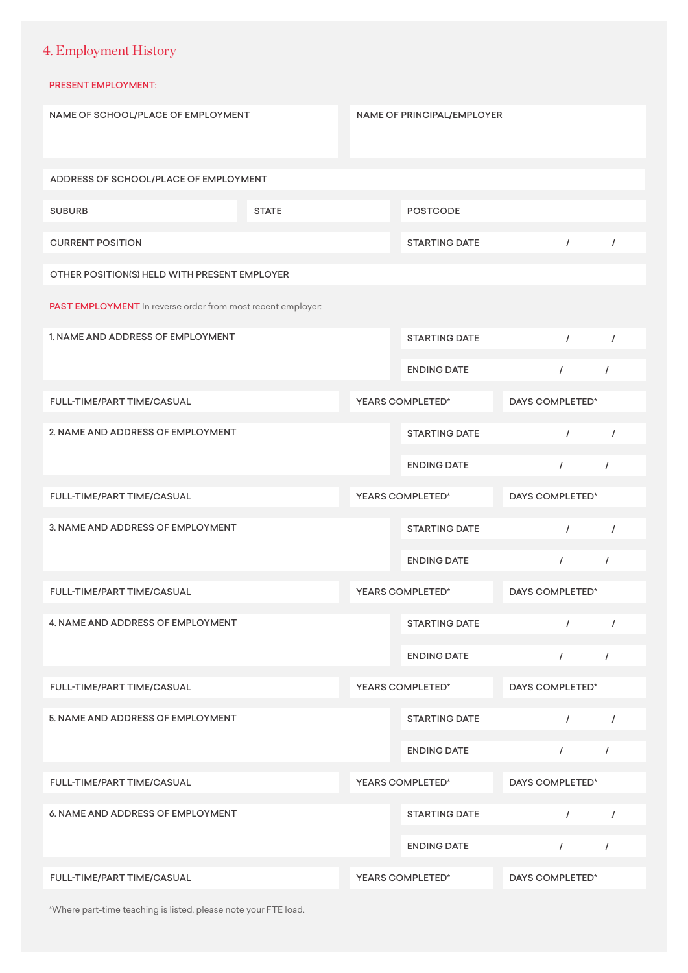## 4. Employment History

#### PRESENT EMPLOYMENT:

| NAME OF SCHOOL/PLACE OF EMPLOYMENT                          |              | <b>NAME OF PRINCIPAL/EMPLOYER</b> |                      |                 |            |
|-------------------------------------------------------------|--------------|-----------------------------------|----------------------|-----------------|------------|
| ADDRESS OF SCHOOL/PLACE OF EMPLOYMENT                       |              |                                   |                      |                 |            |
| <b>SUBURB</b>                                               | <b>STATE</b> |                                   | <b>POSTCODE</b>      |                 |            |
| <b>CURRENT POSITION</b>                                     |              |                                   | <b>STARTING DATE</b> | $\prime$        | $\sqrt{ }$ |
| OTHER POSITION(S) HELD WITH PRESENT EMPLOYER                |              |                                   |                      |                 |            |
| PAST EMPLOYMENT In reverse order from most recent employer: |              |                                   |                      |                 |            |
| 1. NAME AND ADDRESS OF EMPLOYMENT                           |              |                                   | <b>STARTING DATE</b> | $\prime$        | $\prime$   |
|                                                             |              |                                   | <b>ENDING DATE</b>   | $\sqrt{ }$      | $\prime$   |
| FULL-TIME/PART TIME/CASUAL                                  |              |                                   | YEARS COMPLETED*     | DAYS COMPLETED* |            |
| 2. NAME AND ADDRESS OF EMPLOYMENT                           |              |                                   | <b>STARTING DATE</b> | $\prime$        | $\prime$   |
|                                                             |              |                                   | <b>ENDING DATE</b>   | $\sqrt{2}$      | $\sqrt{ }$ |
| FULL-TIME/PART TIME/CASUAL                                  |              |                                   | YEARS COMPLETED*     | DAYS COMPLETED* |            |
| 3. NAME AND ADDRESS OF EMPLOYMENT                           |              |                                   | <b>STARTING DATE</b> | $\sqrt{ }$      | $\sqrt{ }$ |
|                                                             |              |                                   | <b>ENDING DATE</b>   | $\sqrt{ }$      | $\sqrt{2}$ |
| FULL-TIME/PART TIME/CASUAL                                  |              |                                   | YEARS COMPLETED*     | DAYS COMPLETED* |            |
| 4. NAME AND ADDRESS OF EMPLOYMENT                           |              |                                   | <b>STARTING DATE</b> | $\sqrt{ }$      | $\prime$   |
|                                                             |              |                                   | <b>ENDING DATE</b>   | $\sqrt{2}$      | $\sqrt{2}$ |
| FULL-TIME/PART TIME/CASUAL                                  |              |                                   | YEARS COMPLETED*     | DAYS COMPLETED* |            |
| 5. NAME AND ADDRESS OF EMPLOYMENT                           |              |                                   | <b>STARTING DATE</b> | $\prime$        | $\prime$   |
|                                                             |              |                                   | <b>ENDING DATE</b>   | $\sqrt{2}$      | $\prime$   |
| FULL-TIME/PART TIME/CASUAL                                  |              |                                   | YEARS COMPLETED*     | DAYS COMPLETED* |            |
| 6. NAME AND ADDRESS OF EMPLOYMENT                           |              |                                   | <b>STARTING DATE</b> | $\prime$        | $\sqrt{ }$ |
|                                                             |              |                                   | <b>ENDING DATE</b>   | $\sqrt{2}$      | $\prime$   |
| FULL-TIME/PART TIME/CASUAL                                  |              |                                   | YEARS COMPLETED*     | DAYS COMPLETED* |            |

\*Where part-time teaching is listed, please note your FTE load.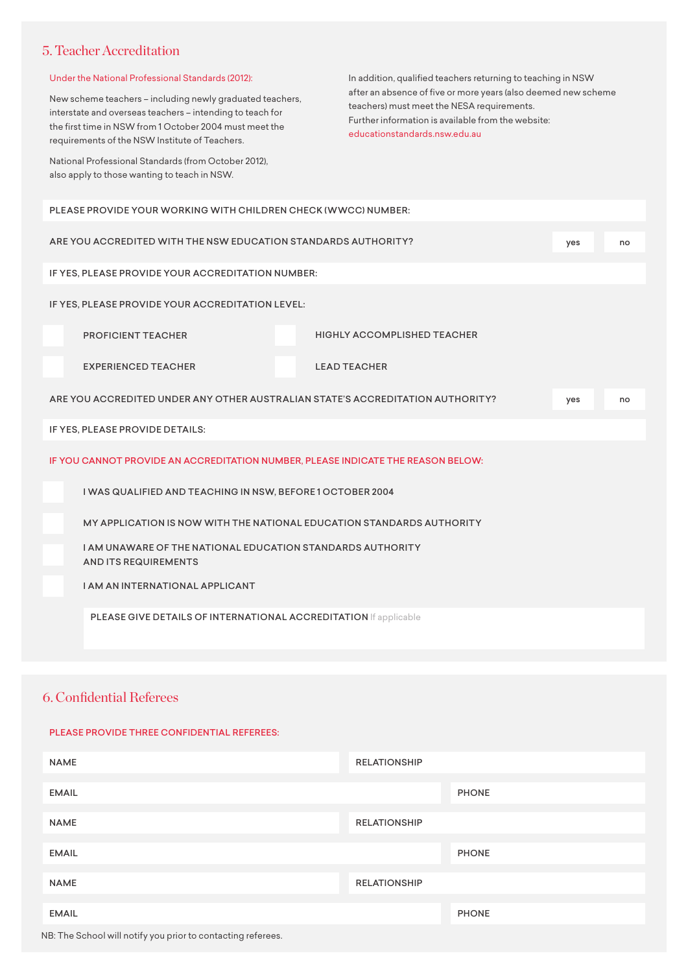#### 5. Teacher Accreditation

| Under the National Professional Standards (2012):<br>New scheme teachers - including newly graduated teachers,<br>interstate and overseas teachers - intending to teach for<br>the first time in NSW from 1 October 2004 must meet the<br>requirements of the NSW Institute of Teachers.<br>National Professional Standards (from October 2012),<br>also apply to those wanting to teach in NSW. | In addition, qualified teachers returning to teaching in NSW<br>after an absence of five or more years (also deemed new scheme<br>teachers) must meet the NESA requirements.<br>Further information is available from the website:<br>educationstandards.nsw.edu.au |     |    |  |  |  |
|--------------------------------------------------------------------------------------------------------------------------------------------------------------------------------------------------------------------------------------------------------------------------------------------------------------------------------------------------------------------------------------------------|---------------------------------------------------------------------------------------------------------------------------------------------------------------------------------------------------------------------------------------------------------------------|-----|----|--|--|--|
| PLEASE PROVIDE YOUR WORKING WITH CHILDREN CHECK (WWCC) NUMBER:                                                                                                                                                                                                                                                                                                                                   |                                                                                                                                                                                                                                                                     |     |    |  |  |  |
| ARE YOU ACCREDITED WITH THE NSW EDUCATION STANDARDS AUTHORITY?                                                                                                                                                                                                                                                                                                                                   |                                                                                                                                                                                                                                                                     | yes | no |  |  |  |
| IF YES, PLEASE PROVIDE YOUR ACCREDITATION NUMBER:                                                                                                                                                                                                                                                                                                                                                |                                                                                                                                                                                                                                                                     |     |    |  |  |  |
| IF YES, PLEASE PROVIDE YOUR ACCREDITATION LEVEL:                                                                                                                                                                                                                                                                                                                                                 |                                                                                                                                                                                                                                                                     |     |    |  |  |  |
| <b>PROFICIENT TEACHER</b>                                                                                                                                                                                                                                                                                                                                                                        | <b>HIGHLY ACCOMPLISHED TEACHER</b>                                                                                                                                                                                                                                  |     |    |  |  |  |
| <b>EXPERIENCED TEACHER</b>                                                                                                                                                                                                                                                                                                                                                                       | <b>LEAD TEACHER</b>                                                                                                                                                                                                                                                 |     |    |  |  |  |
| ARE YOU ACCREDITED UNDER ANY OTHER AUSTRALIAN STATE'S ACCREDITATION AUTHORITY?<br>yes<br>no                                                                                                                                                                                                                                                                                                      |                                                                                                                                                                                                                                                                     |     |    |  |  |  |
| IF YES, PLEASE PROVIDE DETAILS:                                                                                                                                                                                                                                                                                                                                                                  |                                                                                                                                                                                                                                                                     |     |    |  |  |  |
| IF YOU CANNOT PROVIDE AN ACCREDITATION NUMBER, PLEASE INDICATE THE REASON BELOW:                                                                                                                                                                                                                                                                                                                 |                                                                                                                                                                                                                                                                     |     |    |  |  |  |
| I WAS QUALIFIED AND TEACHING IN NSW, BEFORE 1 OCTOBER 2004                                                                                                                                                                                                                                                                                                                                       |                                                                                                                                                                                                                                                                     |     |    |  |  |  |
| MY APPLICATION IS NOW WITH THE NATIONAL EDUCATION STANDARDS AUTHORITY                                                                                                                                                                                                                                                                                                                            |                                                                                                                                                                                                                                                                     |     |    |  |  |  |
| <b>I AM UNAWARE OF THE NATIONAL EDUCATION STANDARDS AUTHORITY</b><br><b>AND ITS REQUIREMENTS</b>                                                                                                                                                                                                                                                                                                 |                                                                                                                                                                                                                                                                     |     |    |  |  |  |
| <b>I AM AN INTERNATIONAL APPLICANT</b>                                                                                                                                                                                                                                                                                                                                                           |                                                                                                                                                                                                                                                                     |     |    |  |  |  |
| PLEASE GIVE DETAILS OF INTERNATIONAL ACCREDITATION If applicable                                                                                                                                                                                                                                                                                                                                 |                                                                                                                                                                                                                                                                     |     |    |  |  |  |

#### 6. Confidential Referees

#### PLEASE PROVIDE THREE CONFIDENTIAL REFEREES:

| <b>NAME</b>  | <b>RELATIONSHIP</b> |
|--------------|---------------------|
| <b>EMAIL</b> | <b>PHONE</b>        |
| <b>NAME</b>  | <b>RELATIONSHIP</b> |
| <b>EMAIL</b> | <b>PHONE</b>        |
| <b>NAME</b>  | <b>RELATIONSHIP</b> |
| <b>EMAIL</b> | <b>PHONE</b>        |

NB: The School will notify you prior to contacting referees.